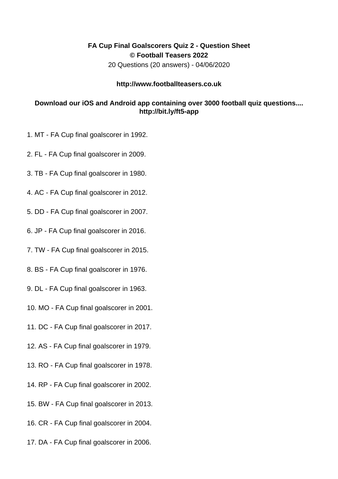## **FA Cup Final Goalscorers Quiz 2 - Question Sheet © Football Teasers 2022**

20 Questions (20 answers) - 04/06/2020

## **http://www.footballteasers.co.uk**

## **Download our iOS and Android app containing over 3000 football quiz questions.... http://bit.ly/ft5-app**

- 1. MT FA Cup final goalscorer in 1992.
- 2. FL FA Cup final goalscorer in 2009.
- 3. TB FA Cup final goalscorer in 1980.
- 4. AC FA Cup final goalscorer in 2012.
- 5. DD FA Cup final goalscorer in 2007.
- 6. JP FA Cup final goalscorer in 2016.
- 7. TW FA Cup final goalscorer in 2015.
- 8. BS FA Cup final goalscorer in 1976.
- 9. DL FA Cup final goalscorer in 1963.
- 10. MO FA Cup final goalscorer in 2001.
- 11. DC FA Cup final goalscorer in 2017.
- 12. AS FA Cup final goalscorer in 1979.
- 13. RO FA Cup final goalscorer in 1978.
- 14. RP FA Cup final goalscorer in 2002.
- 15. BW FA Cup final goalscorer in 2013.
- 16. CR FA Cup final goalscorer in 2004.
- 17. DA FA Cup final goalscorer in 2006.